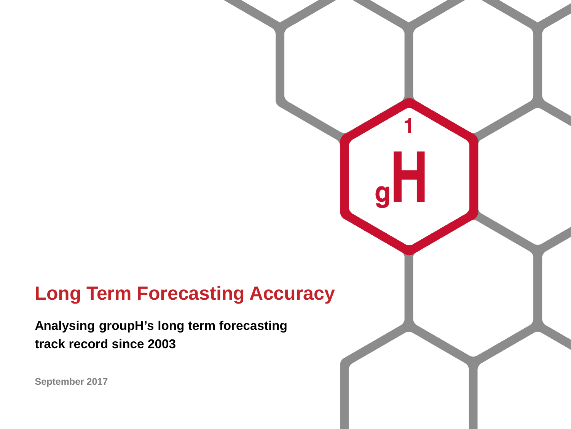# **Long Term Forecasting Accuracy**

**Analysing groupH's long term forecasting track record since 2003**

**September 2017**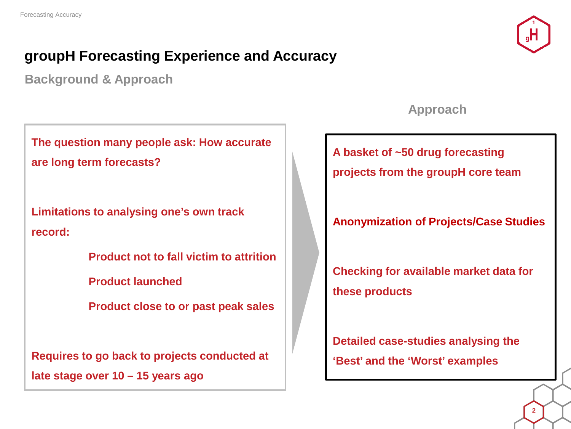### **groupH Forecasting Experience and Accuracy**

**Background & Approach**

**The question many people ask: How accurate are long term forecasts?**

**Limitations to analysing one's own track record:**

**Product not to fall victim to attrition**

**Product launched**

**Product close to or past peak sales**

**Requires to go back to projects conducted at late stage over 10 – 15 years ago**

#### **Approach**

**A basket of ~50 drug forecasting** 

**projects from the groupH core team**

**Anonymization of Projects/Case Studies**

**Checking for available market data for these products**

**Detailed case-studies analysing the 'Best' and the 'Worst' examples**

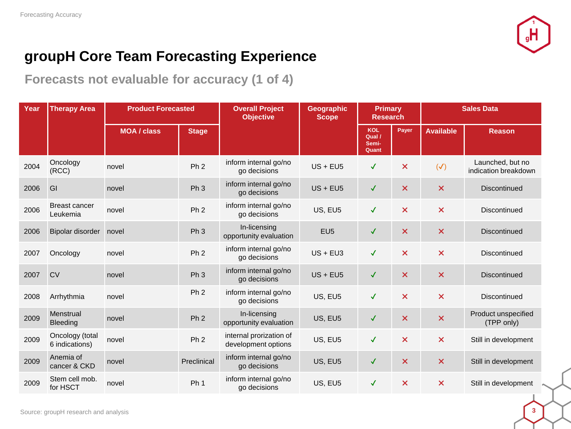

**Forecasts not evaluable for accuracy (1 of 4)**

| Year | <b>Therapy Area</b>               | <b>Product Forecasted</b> |                 | <b>Overall Project</b><br><b>Objective</b>     | <b>Geographic</b><br><b>Scope</b> | <b>Primary</b><br><b>Research</b>      |                           | <b>Sales Data</b>         |                                          |
|------|-----------------------------------|---------------------------|-----------------|------------------------------------------------|-----------------------------------|----------------------------------------|---------------------------|---------------------------|------------------------------------------|
|      |                                   | <b>MOA / class</b>        | <b>Stage</b>    |                                                |                                   | <b>KOL</b><br>Qual /<br>Semi-<br>Quant | Payer                     | <b>Available</b>          | <b>Reason</b>                            |
| 2004 | Oncology<br>(RCC)                 | novel                     | Ph <sub>2</sub> | inform internal go/no<br>go decisions          | $US + EUS$                        | $\checkmark$                           | $\boldsymbol{\mathsf{x}}$ | $(\checkmark)$            | Launched, but no<br>indication breakdown |
| 2006 | GI                                | novel                     | Ph <sub>3</sub> | inform internal go/no<br>go decisions          | $US + EUS$                        | $\checkmark$                           | $\boldsymbol{\mathsf{x}}$ | $\boldsymbol{\mathsf{x}}$ | <b>Discontinued</b>                      |
| 2006 | <b>Breast cancer</b><br>Leukemia  | novel                     | Ph <sub>2</sub> | inform internal go/no<br>go decisions          | US, EU5                           | $\checkmark$                           | $\boldsymbol{\mathsf{x}}$ | $\boldsymbol{\mathsf{x}}$ | Discontinued                             |
| 2006 | Bipolar disorder                  | novel                     | Ph <sub>3</sub> | In-licensing<br>opportunity evaluation         | EU <sub>5</sub>                   | $\checkmark$                           | $\boldsymbol{\mathsf{x}}$ | $\boldsymbol{\mathsf{x}}$ | Discontinued                             |
| 2007 | Oncology                          | novel                     | Ph <sub>2</sub> | inform internal go/no<br>go decisions          | $US + EU3$                        | $\checkmark$                           | $\boldsymbol{\mathsf{x}}$ | $\overline{\mathsf{x}}$   | Discontinued                             |
| 2007 | <b>CV</b>                         | novel                     | Ph <sub>3</sub> | inform internal go/no<br>go decisions          | $US + EUS$                        | $\checkmark$                           | $\boldsymbol{\mathsf{x}}$ | $\boldsymbol{\mathsf{x}}$ | <b>Discontinued</b>                      |
| 2008 | Arrhythmia                        | novel                     | Ph <sub>2</sub> | inform internal go/no<br>go decisions          | US, EU5                           | $\checkmark$                           | $\boldsymbol{\mathsf{x}}$ | $\boldsymbol{\mathsf{x}}$ | <b>Discontinued</b>                      |
| 2009 | Menstrual<br><b>Bleeding</b>      | novel                     | Ph <sub>2</sub> | In-licensing<br>opportunity evaluation         | US, EU5                           | $\checkmark$                           | $\boldsymbol{\mathsf{x}}$ | $\boldsymbol{\mathsf{x}}$ | Product unspecified<br>(TPP only)        |
| 2009 | Oncology (total<br>6 indications) | novel                     | Ph <sub>2</sub> | internal prorization of<br>development options | US, EU5                           | $\checkmark$                           | $\boldsymbol{\mathsf{x}}$ | $\boldsymbol{\mathsf{x}}$ | Still in development                     |
| 2009 | Anemia of<br>cancer & CKD         | novel                     | Preclinical     | inform internal go/no<br>go decisions          | US, EU5                           | $\checkmark$                           | $\boldsymbol{\mathsf{x}}$ | $\boldsymbol{\mathsf{x}}$ | Still in development                     |
| 2009 | Stem cell mob.<br>for HSCT        | novel                     | Ph <sub>1</sub> | inform internal go/no<br>go decisions          | US, EU5                           | $\checkmark$                           | $\boldsymbol{\mathsf{x}}$ | $\boldsymbol{\mathsf{x}}$ | Still in development                     |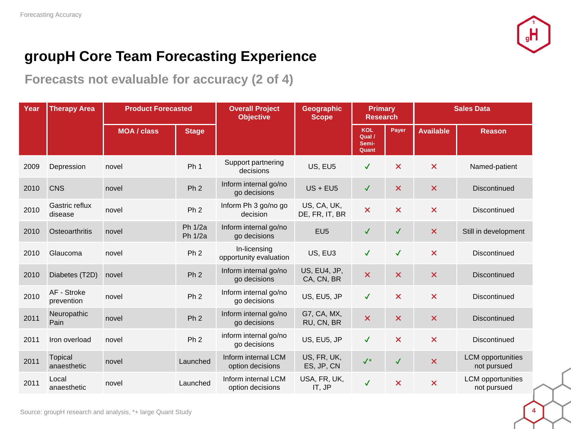

**Forecasts not evaluable for accuracy (2 of 4)**

| Year | <b>Therapy Area</b>           | <b>Product Forecasted</b> |                    | <b>Overall Project</b><br><b>Objective</b> | Geographic<br><b>Scope</b>    | <b>Primary</b><br><b>Research</b>      |                           | <b>Sales Data</b>         |                                         |
|------|-------------------------------|---------------------------|--------------------|--------------------------------------------|-------------------------------|----------------------------------------|---------------------------|---------------------------|-----------------------------------------|
|      |                               | <b>MOA / class</b>        | <b>Stage</b>       |                                            |                               | <b>KOL</b><br>Qual /<br>Semi-<br>Quant | Payer                     | <b>Available</b>          | <b>Reason</b>                           |
| 2009 | Depression                    | novel                     | Ph <sub>1</sub>    | Support partnering<br>decisions            | US, EU5                       | $\checkmark$                           | $\boldsymbol{\mathsf{x}}$ | $\boldsymbol{\mathsf{x}}$ | Named-patient                           |
| 2010 | <b>CNS</b>                    | novel                     | Ph <sub>2</sub>    | Inform internal go/no<br>go decisions      | $US + EUS$                    | $\checkmark$                           | $\boldsymbol{\mathsf{x}}$ | $\boldsymbol{\mathsf{x}}$ | <b>Discontinued</b>                     |
| 2010 | Gastric reflux<br>disease     | novel                     | Ph <sub>2</sub>    | Inform Ph 3 go/no go<br>decision           | US, CA, UK,<br>DE, FR, IT, BR | $\boldsymbol{\mathsf{x}}$              | $\boldsymbol{\mathsf{x}}$ | $\boldsymbol{\mathsf{x}}$ | <b>Discontinued</b>                     |
| 2010 | Osteoarthritis                | novel                     | Ph 1/2a<br>Ph 1/2a | Inform internal go/no<br>go decisions      | EU <sub>5</sub>               | $\checkmark$                           | $\checkmark$              | $\boldsymbol{\times}$     | Still in development                    |
| 2010 | Glaucoma                      | novel                     | Ph <sub>2</sub>    | In-licensing<br>opportunity evaluation     | US, EU3                       | $\checkmark$                           | $\checkmark$              | $\boldsymbol{\mathsf{x}}$ | <b>Discontinued</b>                     |
| 2010 | Diabetes (T2D)                | novel                     | Ph <sub>2</sub>    | Inform internal go/no<br>go decisions      | US, EU4, JP,<br>CA, CN, BR    | $\boldsymbol{\mathsf{x}}$              | $\boldsymbol{\mathsf{x}}$ | $\boldsymbol{\mathsf{x}}$ | <b>Discontinued</b>                     |
| 2010 | AF - Stroke<br>prevention     | novel                     | Ph <sub>2</sub>    | Inform internal go/no<br>go decisions      | US, EU5, JP                   | $\checkmark$                           | $\boldsymbol{\mathsf{x}}$ | $\boldsymbol{\mathsf{x}}$ | <b>Discontinued</b>                     |
| 2011 | Neuropathic<br>Pain           | novel                     | Ph <sub>2</sub>    | Inform internal go/no<br>go decisions      | G7, CA, MX,<br>RU, CN, BR     | $\boldsymbol{\mathsf{x}}$              | $\boldsymbol{\mathsf{x}}$ | $\boldsymbol{\mathsf{x}}$ | <b>Discontinued</b>                     |
| 2011 | Iron overload                 | novel                     | Ph <sub>2</sub>    | inform internal go/no<br>go decisions      | US, EU5, JP                   | $\checkmark$                           | $\boldsymbol{\mathsf{x}}$ | $\boldsymbol{\mathsf{x}}$ | <b>Discontinued</b>                     |
| 2011 | <b>Topical</b><br>anaesthetic | novel                     | Launched           | Inform internal LCM<br>option decisions    | US, FR, UK,<br>ES, JP, CN     | $\checkmark^*$                         | $\checkmark$              | $\boldsymbol{\mathsf{x}}$ | <b>LCM</b> opportunities<br>not pursued |
| 2011 | Local<br>anaesthetic          | novel                     | Launched           | Inform internal LCM<br>option decisions    | USA, FR, UK,<br>IT, JP        | $\checkmark$                           | $\boldsymbol{\mathsf{x}}$ | $\boldsymbol{\mathsf{x}}$ | <b>LCM</b> opportunities<br>not pursued |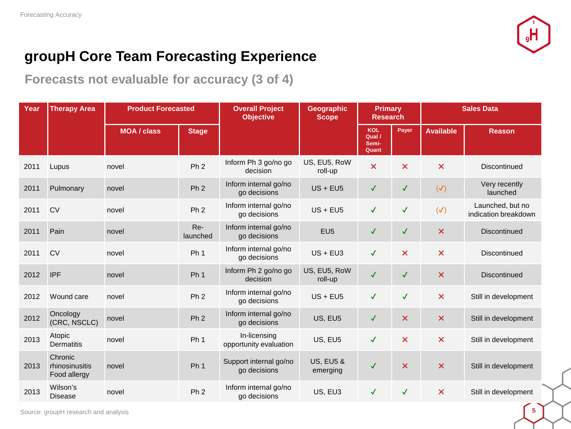

**Forecasts not evaluable for accuracy (3 of 4)**

| Year | <b>Therapy Area</b>                       | <b>Product Forecasted</b> |                 | <b>Overall Project</b><br><b>Objective</b> | <b>Geographic</b><br><b>Scope</b> | <b>Primary</b><br><b>Research</b>      |                           | <b>Sales Data</b>         |                                          |  |
|------|-------------------------------------------|---------------------------|-----------------|--------------------------------------------|-----------------------------------|----------------------------------------|---------------------------|---------------------------|------------------------------------------|--|
|      |                                           | <b>MOA / class</b>        | <b>Stage</b>    |                                            |                                   | <b>KOL</b><br>Qual /<br>Semi-<br>Quant | Payer                     | <b>Available</b>          | <b>Reason</b>                            |  |
| 2011 | Lupus                                     | novel                     | Ph <sub>2</sub> | Inform Ph 3 go/no go<br>decision           | US, EU5, RoW<br>roll-up           | $\boldsymbol{\mathsf{x}}$              | $\boldsymbol{\mathsf{x}}$ | $\boldsymbol{\mathsf{x}}$ | <b>Discontinued</b>                      |  |
| 2011 | Pulmonary                                 | novel                     | Ph <sub>2</sub> | Inform internal go/no<br>go decisions      | $US + EUS$                        | ✓                                      | $\checkmark$              | $(\checkmark)$            | Very recently<br>launched                |  |
| 2011 | <b>CV</b>                                 | novel                     | Ph <sub>2</sub> | Inform internal go/no<br>go decisions      | $US + EUS$                        | $\checkmark$                           | $\checkmark$              | $(\checkmark)$            | Launched, but no<br>indication breakdown |  |
| 2011 | Pain                                      | novel                     | Re-<br>launched | Inform internal go/no<br>go decisions      | EU <sub>5</sub>                   | $\checkmark$                           | $\checkmark$              | $\boldsymbol{\mathsf{x}}$ | Discontinued                             |  |
| 2011 | <b>CV</b>                                 | novel                     | Ph <sub>1</sub> | Inform internal go/no<br>go decisions      | $US + EU3$                        | $\checkmark$                           | $\boldsymbol{\mathsf{x}}$ | $\boldsymbol{\mathsf{x}}$ | Discontinued                             |  |
| 2012 | <b>IPF</b>                                | novel                     | Ph <sub>1</sub> | Inform Ph 2 go/no go<br>decision           | US, EU5, RoW<br>roll-up           | $\checkmark$                           | $\checkmark$              | $\boldsymbol{\mathsf{x}}$ | <b>Discontinued</b>                      |  |
| 2012 | Wound care                                | novel                     | Ph <sub>2</sub> | Inform internal go/no<br>go decisions      | $US + EUS$                        | $\checkmark$                           | $\checkmark$              | $\boldsymbol{\times}$     | Still in development                     |  |
| 2012 | Oncology<br>(CRC, NSCLC)                  | novel                     | Ph <sub>2</sub> | Inform internal go/no<br>go decisions      | US, EU5                           | ✓                                      | $\boldsymbol{\times}$     | $\boldsymbol{\mathsf{x}}$ | Still in development                     |  |
| 2013 | Atopic<br>Dermatitis                      | novel                     | Ph <sub>1</sub> | In-licensing<br>opportunity evaluation     | US, EU5                           | $\checkmark$                           | $\boldsymbol{\mathsf{x}}$ | $\boldsymbol{\mathsf{x}}$ | Still in development                     |  |
| 2013 | Chronic<br>rhinosinusitis<br>Food allergy | novel                     | Ph <sub>1</sub> | Support internal go/no<br>go decisions     | <b>US, EU5 &amp;</b><br>emerging  | $\checkmark$                           | $\boldsymbol{\mathsf{x}}$ | $\boldsymbol{\mathsf{x}}$ | Still in development                     |  |
| 2013 | Wilson's<br><b>Disease</b>                | novel                     | Ph <sub>2</sub> | Inform internal go/no<br>go decisions      | US, EU3                           | $\checkmark$                           | $\checkmark$              | $\boldsymbol{\mathsf{x}}$ | Still in development                     |  |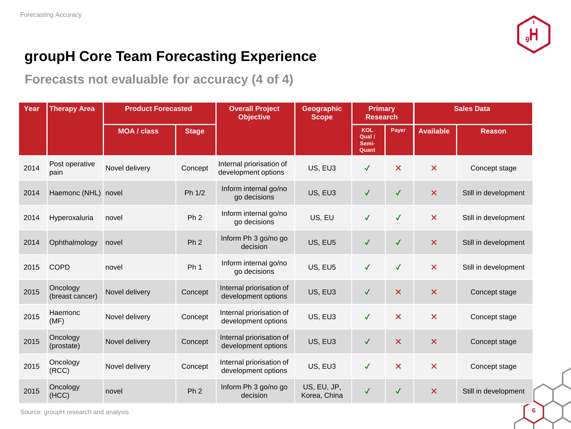

**Forecasts not evaluable for accuracy (4 of 4)**

| Year | <b>Therapy Area</b>         | <b>Product Forecasted</b> |                 | <b>Overall Project</b><br><b>Objective</b>      | <b>Geographic</b><br><b>Scope</b> | <b>Primary</b><br><b>Research</b>      |                           | <b>Sales Data</b>         |                      |  |
|------|-----------------------------|---------------------------|-----------------|-------------------------------------------------|-----------------------------------|----------------------------------------|---------------------------|---------------------------|----------------------|--|
|      |                             | <b>MOA / class</b>        | <b>Stage</b>    |                                                 |                                   | <b>KOL</b><br>Qual /<br>Semi-<br>Quant | Payer                     | <b>Available</b>          | <b>Reason</b>        |  |
| 2014 | Post operative<br>pain      | Novel delivery            | Concept         | Internal priorisation of<br>development options | US, EU3                           | $\checkmark$                           | $\boldsymbol{\mathsf{x}}$ | $\boldsymbol{\mathsf{x}}$ | Concept stage        |  |
| 2014 | Haemonc (NHL) novel         |                           | Ph 1/2          | Inform internal go/no<br>go decisions           | US, EU3                           | ✓                                      | $\checkmark$              | $\boldsymbol{\mathsf{x}}$ | Still in development |  |
| 2014 | Hyperoxaluria               | novel                     | Ph <sub>2</sub> | Inform internal go/no<br>go decisions           | US, EU                            | $\checkmark$                           | $\checkmark$              | $\boldsymbol{\mathsf{x}}$ | Still in development |  |
| 2014 | Ophthalmology               | novel                     | Ph <sub>2</sub> | Inform Ph 3 go/no go<br>decision                | US, EU5                           | ✓                                      | $\checkmark$              | $\boldsymbol{\mathsf{x}}$ | Still in development |  |
| 2015 | <b>COPD</b>                 | novel                     | Ph <sub>1</sub> | Inform internal go/no<br>go decisions           | US, EU5                           | $\checkmark$                           | $\checkmark$              | $\boldsymbol{\mathsf{x}}$ | Still in development |  |
| 2015 | Oncology<br>(breast cancer) | Novel delivery            | Concept         | Internal priorisation of<br>development options | US, EU3                           | $\checkmark$                           | $\boldsymbol{\mathsf{x}}$ | $\boldsymbol{\mathsf{x}}$ | Concept stage        |  |
| 2015 | Haemonc<br>(MF)             | Novel delivery            | Concept         | Internal priorisation of<br>development options | US, EU3                           | $\checkmark$                           | $\boldsymbol{\mathsf{x}}$ | $\boldsymbol{\mathsf{x}}$ | Concept stage        |  |
| 2015 | Oncology<br>(prostate)      | Novel delivery            | Concept         | Internal priorisation of<br>development options | US, EU3                           | $\checkmark$                           | $\boldsymbol{\mathsf{x}}$ | $\boldsymbol{\mathsf{x}}$ | Concept stage        |  |
| 2015 | Oncology<br>(RCC)           | Novel delivery            | Concept         | Internal priorisation of<br>development options | US, EU3                           | $\checkmark$                           | $\boldsymbol{\mathsf{x}}$ | $\pmb{\times}$            | Concept stage        |  |
| 2015 | Oncology<br>(HCC)           | novel                     | Ph <sub>2</sub> | Inform Ph 3 go/no go<br>decision                | US, EU, JP,<br>Korea, China       | ✓                                      | $\checkmark$              | $\boldsymbol{\times}$     | Still in development |  |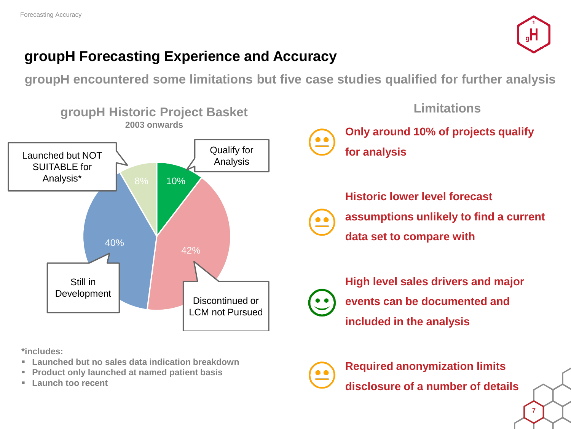

### **groupH Forecasting Experience and Accuracy**

**groupH encountered some limitations but five case studies qualified for further analysis**



**\*includes:**

- **Launched but no sales data indication breakdown**
- **Product only launched at named patient basis**
- **Launch too recent**



**Required anonymization limits disclosure of a number of details**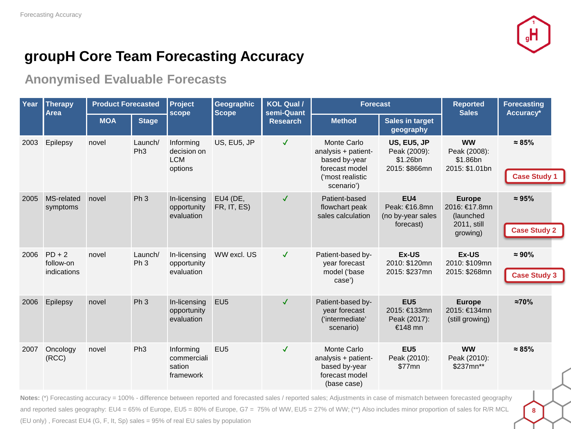

### **groupH Core Team Forecasting Accuracy**

#### **Anonymised Evaluable Forecasts**

| Year | <b>Therapy</b><br><b>Area</b>        | <b>Product Forecasted</b> |                            | Project<br>scope                                  | <b>Geographic</b><br><b>Scope</b> | KOL Qual /<br>semi-Quant | <b>Forecast</b>                                                                                         |                                                            | <b>Reported</b><br><b>Sales</b>                            | <b>Forecasting</b><br>Accuracy*       |
|------|--------------------------------------|---------------------------|----------------------------|---------------------------------------------------|-----------------------------------|--------------------------|---------------------------------------------------------------------------------------------------------|------------------------------------------------------------|------------------------------------------------------------|---------------------------------------|
|      |                                      | <b>MOA</b>                | <b>Stage</b>               |                                                   |                                   | <b>Research</b>          | <b>Method</b>                                                                                           | <b>Sales in target</b><br>geography                        |                                                            |                                       |
| 2003 | Epilepsy                             | novel                     | Launch/<br>Ph <sub>3</sub> | Informing<br>decision on<br><b>LCM</b><br>options | US, EU5, JP                       | $\checkmark$             | Monte Carlo<br>analysis + patient-<br>based by-year<br>forecast model<br>('most realistic<br>scenario') | US, EU5, JP<br>Peak (2009):<br>\$1.26bn<br>2015: \$866mn   | <b>WW</b><br>Peak (2008):<br>\$1.86bn<br>2015: \$1.01bn    | $\approx 85\%$<br><b>Case Study 1</b> |
| 2005 | MS-related<br>symptoms               | novel                     | Ph <sub>3</sub>            | In-licensing<br>opportunity<br>evaluation         | EU4 (DE,<br>FR, IT, ES)           | $\checkmark$             | Patient-based<br>flowchart peak<br>sales calculation                                                    | EU4<br>Peak: €16.8mn<br>(no by-year sales<br>forecast)     | <b>Europe</b><br>2016: €17.8mn<br>(launched<br>2011, still | $\approx 95\%$                        |
|      |                                      |                           |                            |                                                   |                                   |                          |                                                                                                         |                                                            | growing)                                                   | <b>Case Study 2</b>                   |
| 2006 | $PD + 2$<br>follow-on<br>indications | novel                     | Launch/<br>Ph <sub>3</sub> | In-licensing<br>opportunity<br>evaluation         | WW excl. US                       | $\checkmark$             | Patient-based by-<br>year forecast<br>model ('base<br>case')                                            | Ex-US<br>2010: \$120mn<br>2015: \$237mn                    | Ex-US<br>2010: \$109mn<br>2015: \$268mn                    | $\approx 90\%$<br><b>Case Study 3</b> |
| 2006 | Epilepsy                             | novel                     | Ph <sub>3</sub>            | In-licensing<br>opportunity<br>evaluation         | EU <sub>5</sub>                   | $\checkmark$             | Patient-based by-<br>year forecast<br>('intermediate'<br>scenario)                                      | EU <sub>5</sub><br>2015: €133mn<br>Peak (2017):<br>€148 mn | <b>Europe</b><br>2015: €134mn<br>(still growing)           | $\approx 70\%$                        |
| 2007 | Oncology<br>(RCC)                    | novel                     | Ph <sub>3</sub>            | Informing<br>commerciali<br>sation<br>framework   | EU <sub>5</sub>                   | $\checkmark$             | Monte Carlo<br>analysis + patient-<br>based by-year<br>forecast model<br>(base case)                    | EU <sub>5</sub><br>Peak (2010):<br>\$77mn                  | <b>WW</b><br>Peak (2010):<br>\$237mn**                     | $\approx 85\%$                        |

**Notes:** (\*) Forecasting accuracy = 100% - difference between reported and forecasted sales / reported sales; Adjustments in case of mismatch between forecasted geography and reported sales geography: EU4 = 65% of Europe, EU5 = 80% of Europe, G7 = 75% of WW, EU5 = 27% of WW; (\*\*) Also includes minor proportion of sales for R/R MCL (EU only) , Forecast EU4 (G, F, It, Sp) sales = 95% of real EU sales by population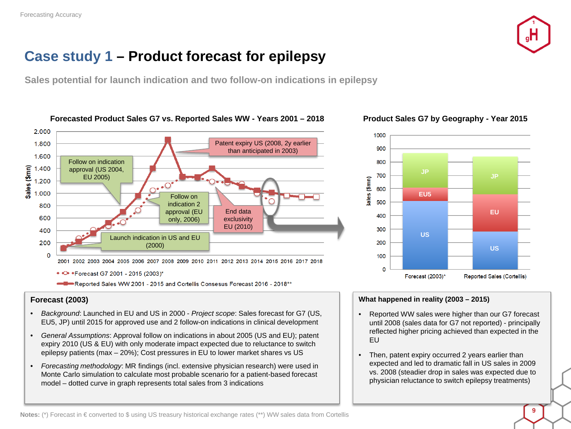

### **Case study 1 – Product forecast for epilepsy**

**Sales potential for launch indication and two follow-on indications in epilepsy**



• C \*Forecast G7 2001 - 2015 (2003)\*

-Reported Sales WW 2001 - 2015 and Cortellis Consesus Forecast 2016 - 2018\*\*

#### **Forecast (2003)**

- *Background*: Launched in EU and US in 2000 *Project scope*: Sales forecast for G7 (US, EU5, JP) until 2015 for approved use and 2 follow-on indications in clinical development
- *General Assumptions*: Approval follow on indications in about 2005 (US and EU); patent expiry 2010 (US & EU) with only moderate impact expected due to reluctance to switch epilepsy patients (max – 20%); Cost pressures in EU to lower market shares vs US
- *Forecasting methodology*: MR findings (incl. extensive physician research) were used in Monte Carlo simulation to calculate most probable scenario for a patient-based forecast model – dotted curve in graph represents total sales from 3 indications

#### **Forecasted Product Sales G7 vs. Reported Sales WW - Years 2001 – 2018 Product Sales G7 by Geography - Year 2015**



#### **What happened in reality (2003 – 2015)**

- Reported WW sales were higher than our G7 forecast until 2008 (sales data for G7 not reported) - principally reflected higher pricing achieved than expected in the EU
- Then, patent expiry occurred 2 years earlier than expected and led to dramatic fall in US sales in 2009 vs. 2008 (steadier drop in sales was expected due to physician reluctance to switch epilepsy treatments)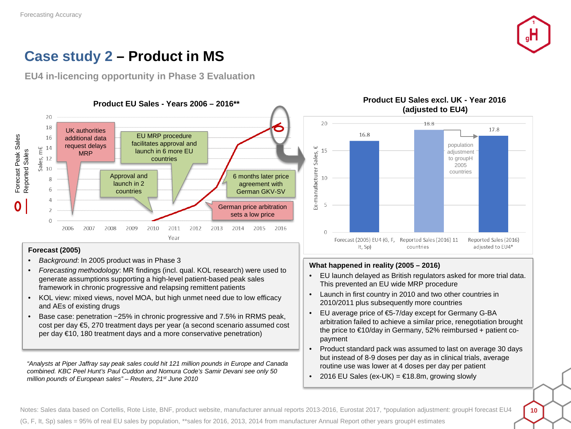

### **Case study 2 – Product in MS**

**EU4 in-licencing opportunity in Phase 3 Evaluation**



#### **Forecast (2005)**

- *Background*: In 2005 product was in Phase 3
- *Forecasting methodology*: MR findings (incl. qual. KOL research) were used to generate assumptions supporting a high-level patient-based peak sales framework in chronic progressive and relapsing remittent patients
- KOL view: mixed views, novel MOA, but high unmet need due to low efficacy and AEs of existing drugs
- Base case: penetration ~25% in chronic progressive and 7.5% in RRMS peak, cost per day €5, 270 treatment days per year (a second scenario assumed cost per day €10, 180 treatment days and a more conservative penetration)

*"Analysts at Piper Jaffray say peak sales could hit 121 million pounds in Europe and Canada combined. KBC Peel Hunt's Paul Cuddon and Nomura Code's Samir Devani see only 50 million pounds of European sales" – Reuters, 21st June 2010*



# **(adjusted to EU4)**

#### **What happened in reality (2005 – 2016)**

- EU launch delayed as British regulators asked for more trial data. This prevented an EU wide MRP procedure
- Launch in first country in 2010 and two other countries in 2010/2011 plus subsequently more countries
- EU average price of €5-7/day except for Germany G-BA arbitration failed to achieve a similar price, renegotiation brought the price to €10/day in Germany, 52% reimbursed + patient copayment
- Product standard pack was assumed to last on average 30 days but instead of 8-9 doses per day as in clinical trials, average routine use was lower at 4 doses per day per patient
- 2016 EU Sales (ex-UK) =  $€18.8m$ , growing slowly

Notes: Sales data based on Cortellis, Rote Liste, BNF, product website, manufacturer annual reports 2013-2016, Eurostat 2017, \*population adjustment: groupH forecast EU4 (G, F, It, Sp) sales = 95% of real EU sales by population, \*\*sales for 2016, 2013, 2014 from manufacturer Annual Report other years groupH estimates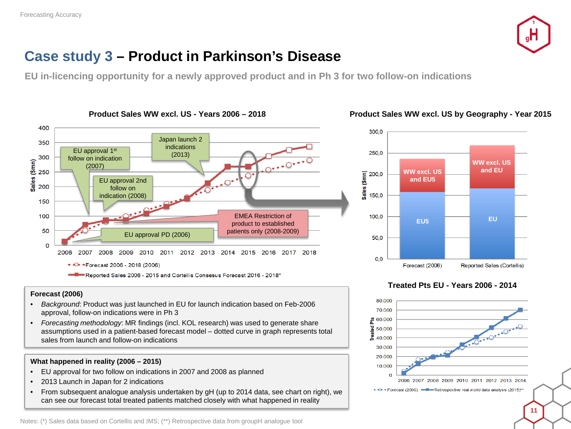

### **Case study 3 – Product in Parkinson's Disease**

**EU in-licencing opportunity for a newly approved product and in Ph 3 for two follow-on indications**



#### **Product Sales WW excl. US - Years 2006 – 2018 Product Sales WW excl. US by Geography - Year 2015**

#### 250.0 **WW excl. US and EU WW excl. US**  Sales (\$mn) 200,0 **and EU5** 150.0 100,0 **EU5 EU** 50.0  $0,0$ Forecast (2006) Reported Sales (Cortellis)

300,0

#### **Treated Pts EU - Years 2006 - 2014**



#### **Forecast (2006)**

- *Background*: Product was just launched in EU for launch indication based on Feb-2006 approval, follow-on indications were in Ph 3
- *Forecasting methodology*: MR findings (incl. KOL research) was used to generate share assumptions used in a patient-based forecast model – dotted curve in graph represents total sales from launch and follow-on indications

#### **What happened in reality (2006 – 2015)**

- EU approval for two follow on indications in 2007 and 2008 as planned
- 2013 Launch in Japan for 2 indications
- From subsequent analogue analysis undertaken by gH (up to 2014 data, see chart on right), we can see our forecast total treated patients matched closely with what happened in reality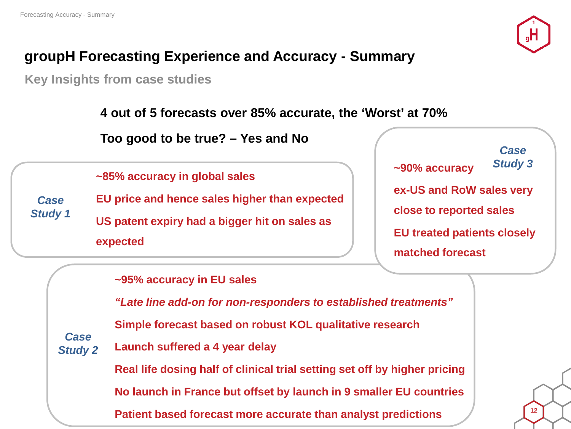

## **groupH Forecasting Experience and Accuracy - Summary**

**Key Insights from case studies**

**4 out of 5 forecasts over 85% accurate, the 'Worst' at 70%**

**Too good to be true? – Yes and No**

**~85% accuracy in global sales**

**EU price and hence sales higher than expected US patent expiry had a bigger hit on sales as expected** *Case Study 1*

**~90% accuracy ex-US and RoW sales very close to reported sales EU treated patients closely matched forecast** *Case Study 3*

**~95% accuracy in EU sales**

*"Late line add-on for non-responders to established treatments"* **Simple forecast based on robust KOL qualitative research Launch suffered a 4 year delay Real life dosing half of clinical trial setting set off by higher pricing No launch in France but offset by launch in 9 smaller EU countries** *Case Study 2*

**Patient based forecast more accurate than analyst predictions**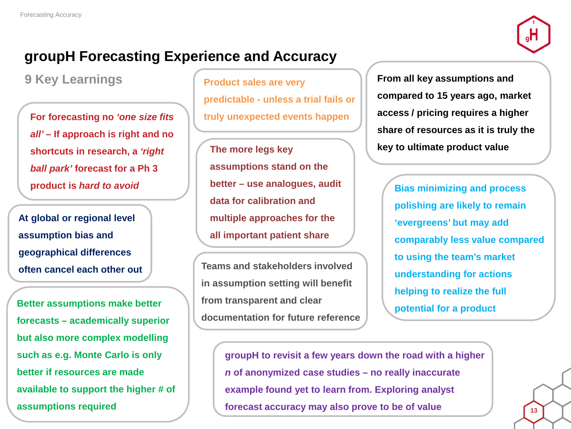

### **groupH Forecasting Experience and Accuracy**

**For forecasting no** *'one size fits all' –* **If approach is right and no shortcuts in research, a** *'right ball park'* **forecast for a Ph 3 product is** *hard to avoid*

**At global or regional level assumption bias and geographical differences often cancel each other out**

**Better assumptions make better forecasts – academically superior but also more complex modelling such as e.g. Monte Carlo is only better if resources are made available to support the higher # of assumptions required**

**9 Key Learnings Product sales are very predictable - unless a trial fails or truly unexpected events happen**

> **The more legs key assumptions stand on the better – use analogues, audit data for calibration and multiple approaches for the all important patient share**

**Teams and stakeholders involved in assumption setting will benefit from transparent and clear documentation for future reference** **From all key assumptions and compared to 15 years ago, market access / pricing requires a higher share of resources as it is truly the key to ultimate product value**

**Bias minimizing and process polishing are likely to remain 'evergreens' but may add comparably less value compared to using the team's market understanding for actions helping to realize the full potential for a product**

**groupH to revisit a few years down the road with a higher**  *n* **of anonymized case studies – no really inaccurate example found yet to learn from. Exploring analyst forecast accuracy may also prove to be of value**